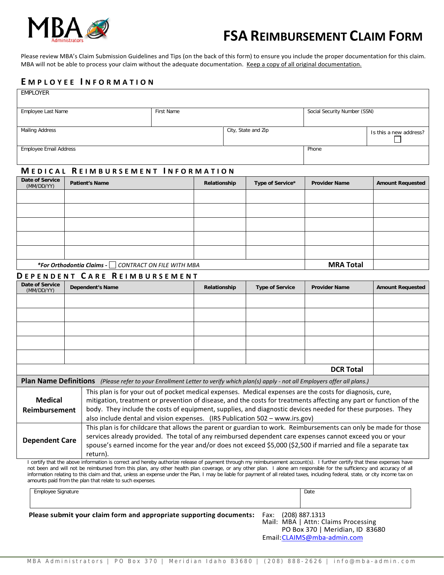

# **FSA REIMBURSEMENT CLAIM FORM**

Please review MBA's Claim Submission Guidelines and Tips (on the back of this form) to ensure you include the proper documentation for this claim. MBA will not be able to process your claim without the adequate documentation. Keep a copy of all original documentation.

#### **E MPLOYEE I NFORMATION**

| <b>EMPLOYER</b>                                                                                                                                                                                                                                                                                                                                                                                                       |                                          |                                                                                                                                                                                                                                                                                                                                                                                                                                                                                                                                       |              |                     |                  |                              |                         |                         |
|-----------------------------------------------------------------------------------------------------------------------------------------------------------------------------------------------------------------------------------------------------------------------------------------------------------------------------------------------------------------------------------------------------------------------|------------------------------------------|---------------------------------------------------------------------------------------------------------------------------------------------------------------------------------------------------------------------------------------------------------------------------------------------------------------------------------------------------------------------------------------------------------------------------------------------------------------------------------------------------------------------------------------|--------------|---------------------|------------------|------------------------------|-------------------------|-------------------------|
| Employee Last Name                                                                                                                                                                                                                                                                                                                                                                                                    |                                          | First Name                                                                                                                                                                                                                                                                                                                                                                                                                                                                                                                            |              |                     |                  | Social Security Number (SSN) |                         |                         |
|                                                                                                                                                                                                                                                                                                                                                                                                                       |                                          |                                                                                                                                                                                                                                                                                                                                                                                                                                                                                                                                       |              |                     |                  |                              |                         |                         |
| <b>Mailing Address</b>                                                                                                                                                                                                                                                                                                                                                                                                |                                          |                                                                                                                                                                                                                                                                                                                                                                                                                                                                                                                                       |              | City, State and Zip |                  |                              |                         | Is this a new address?  |
| <b>Employee Email Address</b>                                                                                                                                                                                                                                                                                                                                                                                         |                                          |                                                                                                                                                                                                                                                                                                                                                                                                                                                                                                                                       |              |                     |                  |                              | Phone                   |                         |
|                                                                                                                                                                                                                                                                                                                                                                                                                       |                                          |                                                                                                                                                                                                                                                                                                                                                                                                                                                                                                                                       |              |                     |                  |                              |                         |                         |
| <b>Date of Service</b>                                                                                                                                                                                                                                                                                                                                                                                                | <b>MEDICAL REIMBURSEMENT INFORMATION</b> |                                                                                                                                                                                                                                                                                                                                                                                                                                                                                                                                       |              |                     |                  |                              |                         |                         |
| (MM/DD/YY)                                                                                                                                                                                                                                                                                                                                                                                                            | <b>Patient's Name</b>                    |                                                                                                                                                                                                                                                                                                                                                                                                                                                                                                                                       | Relationship |                     | Type of Service* | <b>Provider Name</b>         | <b>Amount Requested</b> |                         |
|                                                                                                                                                                                                                                                                                                                                                                                                                       |                                          |                                                                                                                                                                                                                                                                                                                                                                                                                                                                                                                                       |              |                     |                  |                              |                         |                         |
|                                                                                                                                                                                                                                                                                                                                                                                                                       |                                          |                                                                                                                                                                                                                                                                                                                                                                                                                                                                                                                                       |              |                     |                  |                              |                         |                         |
|                                                                                                                                                                                                                                                                                                                                                                                                                       |                                          |                                                                                                                                                                                                                                                                                                                                                                                                                                                                                                                                       |              |                     |                  |                              |                         |                         |
|                                                                                                                                                                                                                                                                                                                                                                                                                       |                                          |                                                                                                                                                                                                                                                                                                                                                                                                                                                                                                                                       |              |                     |                  |                              |                         |                         |
|                                                                                                                                                                                                                                                                                                                                                                                                                       |                                          |                                                                                                                                                                                                                                                                                                                                                                                                                                                                                                                                       |              |                     |                  |                              |                         |                         |
| *For Orthodontia Claims - CONTRACT ON FILE WITH MBA                                                                                                                                                                                                                                                                                                                                                                   |                                          |                                                                                                                                                                                                                                                                                                                                                                                                                                                                                                                                       |              |                     |                  | <b>MRA Total</b>             |                         |                         |
|                                                                                                                                                                                                                                                                                                                                                                                                                       |                                          | DEPENDENT CARE REIMBURSEMENT                                                                                                                                                                                                                                                                                                                                                                                                                                                                                                          |              |                     |                  |                              |                         |                         |
| <b>Date of Service</b><br>(MM/DD/YY)                                                                                                                                                                                                                                                                                                                                                                                  |                                          | Dependent's Name                                                                                                                                                                                                                                                                                                                                                                                                                                                                                                                      |              | Relationship        |                  | <b>Type of Service</b>       | <b>Provider Name</b>    | <b>Amount Requested</b> |
|                                                                                                                                                                                                                                                                                                                                                                                                                       |                                          |                                                                                                                                                                                                                                                                                                                                                                                                                                                                                                                                       |              |                     |                  |                              |                         |                         |
|                                                                                                                                                                                                                                                                                                                                                                                                                       |                                          |                                                                                                                                                                                                                                                                                                                                                                                                                                                                                                                                       |              |                     |                  |                              |                         |                         |
|                                                                                                                                                                                                                                                                                                                                                                                                                       |                                          |                                                                                                                                                                                                                                                                                                                                                                                                                                                                                                                                       |              |                     |                  |                              |                         |                         |
|                                                                                                                                                                                                                                                                                                                                                                                                                       |                                          |                                                                                                                                                                                                                                                                                                                                                                                                                                                                                                                                       |              |                     |                  |                              |                         |                         |
|                                                                                                                                                                                                                                                                                                                                                                                                                       |                                          |                                                                                                                                                                                                                                                                                                                                                                                                                                                                                                                                       |              |                     |                  |                              |                         |                         |
|                                                                                                                                                                                                                                                                                                                                                                                                                       |                                          |                                                                                                                                                                                                                                                                                                                                                                                                                                                                                                                                       |              |                     |                  |                              | <b>DCR Total</b>        |                         |
|                                                                                                                                                                                                                                                                                                                                                                                                                       |                                          | Plan Name Definitions (Please refer to your Enrollment Letter to verify which plan(s) apply - not all Employers offer all plans.)                                                                                                                                                                                                                                                                                                                                                                                                     |              |                     |                  |                              |                         |                         |
| <b>Medical</b><br><b>Reimbursement</b>                                                                                                                                                                                                                                                                                                                                                                                |                                          | This plan is for your out of pocket medical expenses. Medical expenses are the costs for diagnosis, cure,<br>mitigation, treatment or prevention of disease, and the costs for treatments affecting any part or function of the<br>body. They include the costs of equipment, supplies, and diagnostic devices needed for these purposes. They<br>also include dental and vision expenses. (IRS Publication 502 - www.irs.gov)                                                                                                        |              |                     |                  |                              |                         |                         |
| <b>Dependent Care</b>                                                                                                                                                                                                                                                                                                                                                                                                 |                                          | This plan is for childcare that allows the parent or guardian to work. Reimbursements can only be made for those<br>services already provided. The total of any reimbursed dependent care expenses cannot exceed you or your<br>spouse's earned income for the year and/or does not exceed \$5,000 (\$2,500 if married and file a separate tax<br>return).<br>I certify that the above information is correct and hereby authorize release of payment through my reimbursement account(s). I further certify that these expenses have |              |                     |                  |                              |                         |                         |
| not been and will not be reimbursed from this plan, any other health plan coverage, or any other plan. I alone am responsible for the sufficiency and accuracy of all<br>information relating to this claim and that, unless an expense under the Plan, I may be liable for payment of all related taxes, including federal, state, or city income tax on<br>amounts paid from the plan that relate to such expenses. |                                          |                                                                                                                                                                                                                                                                                                                                                                                                                                                                                                                                       |              |                     |                  |                              |                         |                         |

| Employee Signature                                                  |                     | Date                                                                                                  |
|---------------------------------------------------------------------|---------------------|-------------------------------------------------------------------------------------------------------|
| Please submit your claim form and appropriate supporting documents: | Fax: (208) 887.1313 | Mail: MBA   Attn: Claims Processing<br>PO Box 370   Meridian, ID 83680<br>Email: CLAIMS@mba-admin.com |